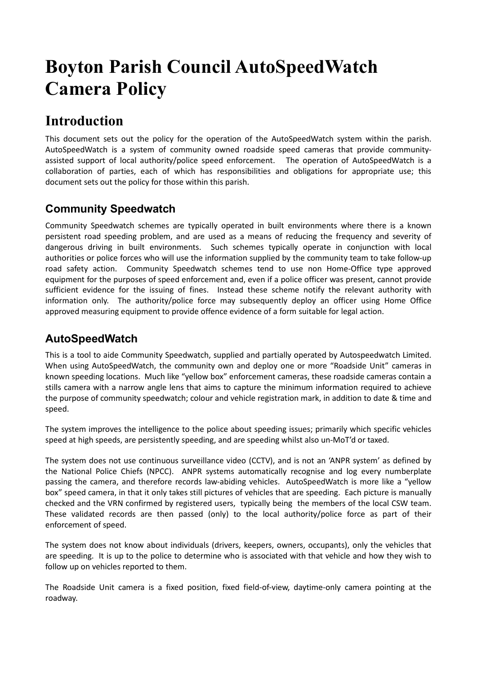# **Boyton Parish Council AutoSpeedWatch Camera Policy**

### **Introduction**

This document sets out the policy for the operation of the AutoSpeedWatch system within the parish. AutoSpeedWatch is a system of community owned roadside speed cameras that provide communityassisted support of local authority/police speed enforcement. The operation of AutoSpeedWatch is a collaboration of parties, each of which has responsibilities and obligations for appropriate use; this document sets out the policy for those within this parish.

#### **Community Speedwatch**

Community Speedwatch schemes are typically operated in built environments where there is a known persistent road speeding problem, and are used as a means of reducing the frequency and severity of dangerous driving in built environments. Such schemes typically operate in conjunction with local authorities or police forces who will use the information supplied by the community team to take follow-up road safety action. Community Speedwatch schemes tend to use non Home-Office type approved equipment for the purposes of speed enforcement and, even if a police officer was present, cannot provide sufficient evidence for the issuing of fines. Instead these scheme notify the relevant authority with information only. The authority/police force may subsequently deploy an officer using Home Office approved measuring equipment to provide offence evidence of a form suitable for legal action.

#### **AutoSpeedWatch**

This is a tool to aide Community Speedwatch, supplied and partially operated by Autospeedwatch Limited. When using AutoSpeedWatch, the community own and deploy one or more "Roadside Unit" cameras in known speeding locations. Much like "yellow box" enforcement cameras, these roadside cameras contain a stills camera with a narrow angle lens that aims to capture the minimum information required to achieve the purpose of community speedwatch; colour and vehicle registration mark, in addition to date & time and speed.

The system improves the intelligence to the police about speeding issues; primarily which specific vehicles speed at high speeds, are persistently speeding, and are speeding whilst also un-MoT'd or taxed.

The system does not use continuous surveillance video (CCTV), and is not an 'ANPR system' as defined by the National Police Chiefs (NPCC). ANPR systems automatically recognise and log every numberplate passing the camera, and therefore records law-abiding vehicles. AutoSpeedWatch is more like a "yellow box" speed camera, in that it only takes still pictures of vehicles that are speeding. Each picture is manually checked and the VRN confirmed by registered users, typically being the members of the local CSW team. These validated records are then passed (only) to the local authority/police force as part of their enforcement of speed.

The system does not know about individuals (drivers, keepers, owners, occupants), only the vehicles that are speeding. It is up to the police to determine who is associated with that vehicle and how they wish to follow up on vehicles reported to them.

The Roadside Unit camera is a fixed position, fixed field-of-view, daytime-only camera pointing at the roadway.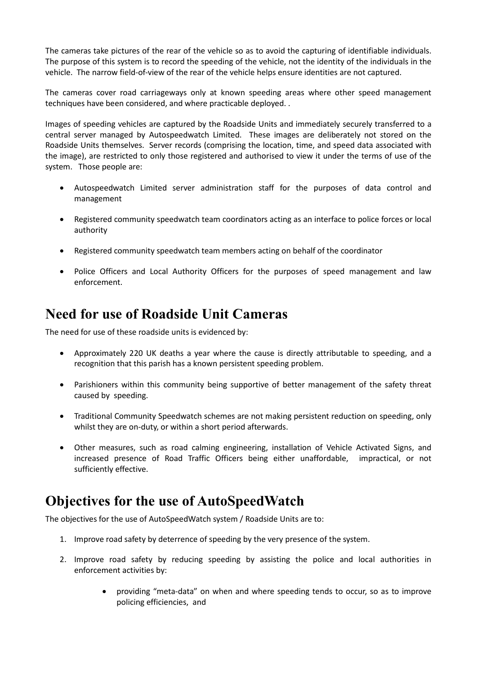The cameras take pictures of the rear of the vehicle so as to avoid the capturing of identifiable individuals. The purpose of this system is to record the speeding of the vehicle, not the identity of the individuals in the vehicle. The narrow field-of-view of the rear of the vehicle helps ensure identities are not captured.

The cameras cover road carriageways only at known speeding areas where other speed management techniques have been considered, and where practicable deployed. .

Images of speeding vehicles are captured by the Roadside Units and immediately securely transferred to a central server managed by Autospeedwatch Limited. These images are deliberately not stored on the Roadside Units themselves. Server records (comprising the location, time, and speed data associated with the image), are restricted to only those registered and authorised to view it under the terms of use of the system. Those people are:

- Autospeedwatch Limited server administration staff for the purposes of data control and management
- Registered community speedwatch team coordinators acting as an interface to police forces or local authority
- Registered community speedwatch team members acting on behalf of the coordinator
- Police Officers and Local Authority Officers for the purposes of speed management and law enforcement.

### **Need for use of Roadside Unit Cameras**

The need for use of these roadside units is evidenced by:

- Approximately 220 UK deaths a year where the cause is directly attributable to speeding, and a recognition that this parish has a known persistent speeding problem.
- Parishioners within this community being supportive of better management of the safety threat caused by speeding.
- Traditional Community Speedwatch schemes are not making persistent reduction on speeding, only whilst they are on-duty, or within a short period afterwards.
- Other measures, such as road calming engineering, installation of Vehicle Activated Signs, and increased presence of Road Traffic Officers being either unaffordable, impractical, or not sufficiently effective.

### **Objectives for the use of AutoSpeedWatch**

The objectives for the use of AutoSpeedWatch system / Roadside Units are to:

- 1. Improve road safety by deterrence of speeding by the very presence of the system.
- 2. Improve road safety by reducing speeding by assisting the police and local authorities in enforcement activities by:
	- providing "meta-data" on when and where speeding tends to occur, so as to improve policing efficiencies, and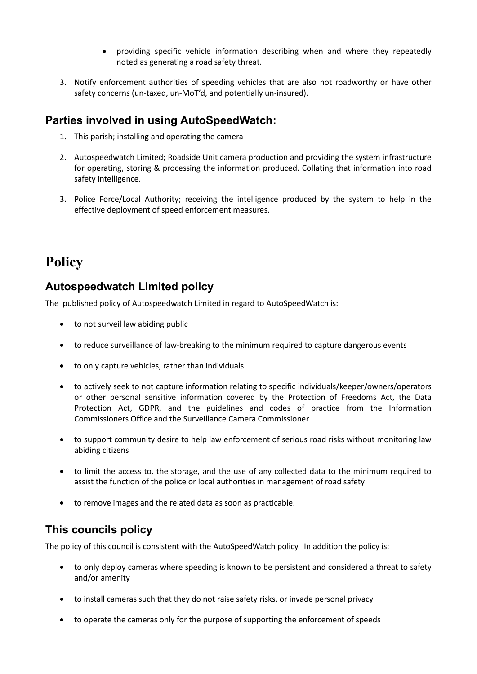- providing specific vehicle information describing when and where they repeatedly noted as generating a road safety threat.
- 3. Notify enforcement authorities of speeding vehicles that are also not roadworthy or have other safety concerns (un-taxed, un-MoT'd, and potentially un-insured).

#### **Parties involved in using AutoSpeedWatch:**

- 1. This parish; installing and operating the camera
- 2. Autospeedwatch Limited; Roadside Unit camera production and providing the system infrastructure for operating, storing & processing the information produced. Collating that information into road safety intelligence.
- 3. Police Force/Local Authority; receiving the intelligence produced by the system to help in the effective deployment of speed enforcement measures.

## **Policy**

#### **Autospeedwatch Limited policy**

The published policy of Autospeedwatch Limited in regard to AutoSpeedWatch is:

- to not surveil law abiding public
- to reduce surveillance of law-breaking to the minimum required to capture dangerous events
- to only capture vehicles, rather than individuals
- to actively seek to not capture information relating to specific individuals/keeper/owners/operators or other personal sensitive information covered by the Protection of Freedoms Act, the Data Protection Act, GDPR, and the guidelines and codes of practice from the Information Commissioners Office and the Surveillance Camera Commissioner
- to support community desire to help law enforcement of serious road risks without monitoring law abiding citizens
- to limit the access to, the storage, and the use of any collected data to the minimum required to assist the function of the police or local authorities in management of road safety
- to remove images and the related data as soon as practicable.

### **This councils policy**

The policy of this council is consistent with the AutoSpeedWatch policy. In addition the policy is:

- to only deploy cameras where speeding is known to be persistent and considered a threat to safety and/or amenity
- to install cameras such that they do not raise safety risks, or invade personal privacy
- to operate the cameras only for the purpose of supporting the enforcement of speeds